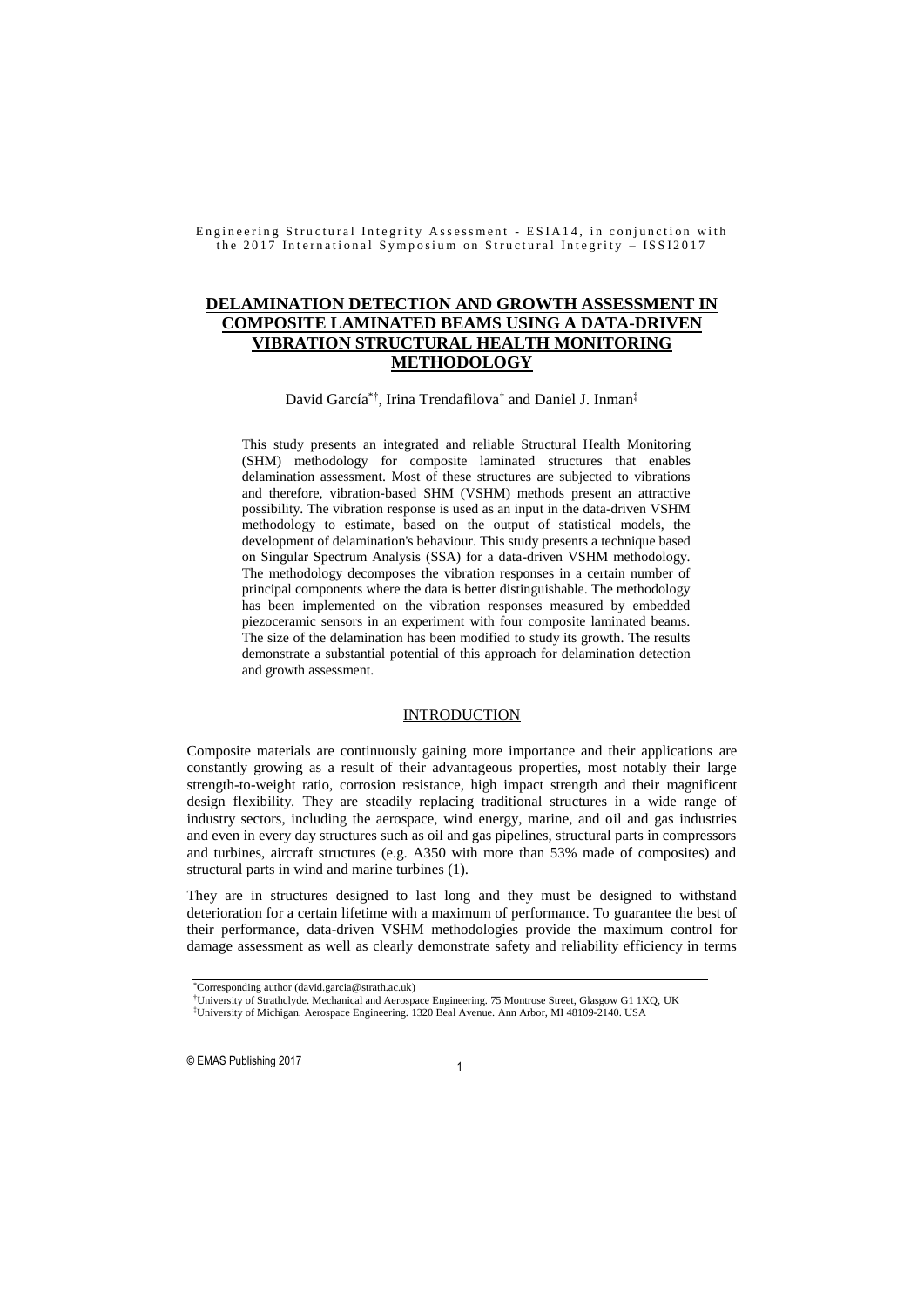# **DELAMINATION DETECTION AND GROWTH ASSESSMENT IN COMPOSITE LAMINATED BEAMS USING A DATA-DRIVEN VIBRATION STRUCTURAL HEALTH MONITORING METHODOLOGY**

### David García<sup>\*†</sup>, Irina Trendafilova<sup>†</sup> and Daniel J. Inman<sup>‡</sup>

This study presents an integrated and reliable Structural Health Monitoring (SHM) methodology for composite laminated structures that enables delamination assessment. Most of these structures are subjected to vibrations and therefore, vibration-based SHM (VSHM) methods present an attractive possibility. The vibration response is used as an input in the data-driven VSHM methodology to estimate, based on the output of statistical models, the development of delamination's behaviour. This study presents a technique based on Singular Spectrum Analysis (SSA) for a data-driven VSHM methodology. The methodology decomposes the vibration responses in a certain number of principal components where the data is better distinguishable. The methodology has been implemented on the vibration responses measured by embedded piezoceramic sensors in an experiment with four composite laminated beams. The size of the delamination has been modified to study its growth. The results demonstrate a substantial potential of this approach for delamination detection and growth assessment.

#### INTRODUCTION

Composite materials are continuously gaining more importance and their applications are constantly growing as a result of their advantageous properties, most notably their large strength-to-weight ratio, corrosion resistance, high impact strength and their magnificent design flexibility. They are steadily replacing traditional structures in a wide range of industry sectors, including the aerospace, wind energy, marine, and oil and gas industries and even in every day structures such as oil and gas pipelines, structural parts in compressors and turbines, aircraft structures (e.g. A350 with more than 53% made of composites) and structural parts in wind and marine turbines (1).

They are in structures designed to last long and they must be designed to withstand deterioration for a certain lifetime with a maximum of performance. To guarantee the best of their performance, data-driven VSHM methodologies provide the maximum control for damage assessment as well as clearly demonstrate safety and reliability efficiency in terms

<sup>\*</sup>Corresponding author [\(david.garcia@strath.ac.uk\)](mailto:david.garcia@strath.ac.uk)

<sup>†</sup>University of Strathclyde. Mechanical and Aerospace Engineering. 75 Montrose Street, Glasgow G1 1XQ, UK ‡University of Michigan. Aerospace Engineering. 1320 Beal Avenue. Ann Arbor, MI 48109-2140. USA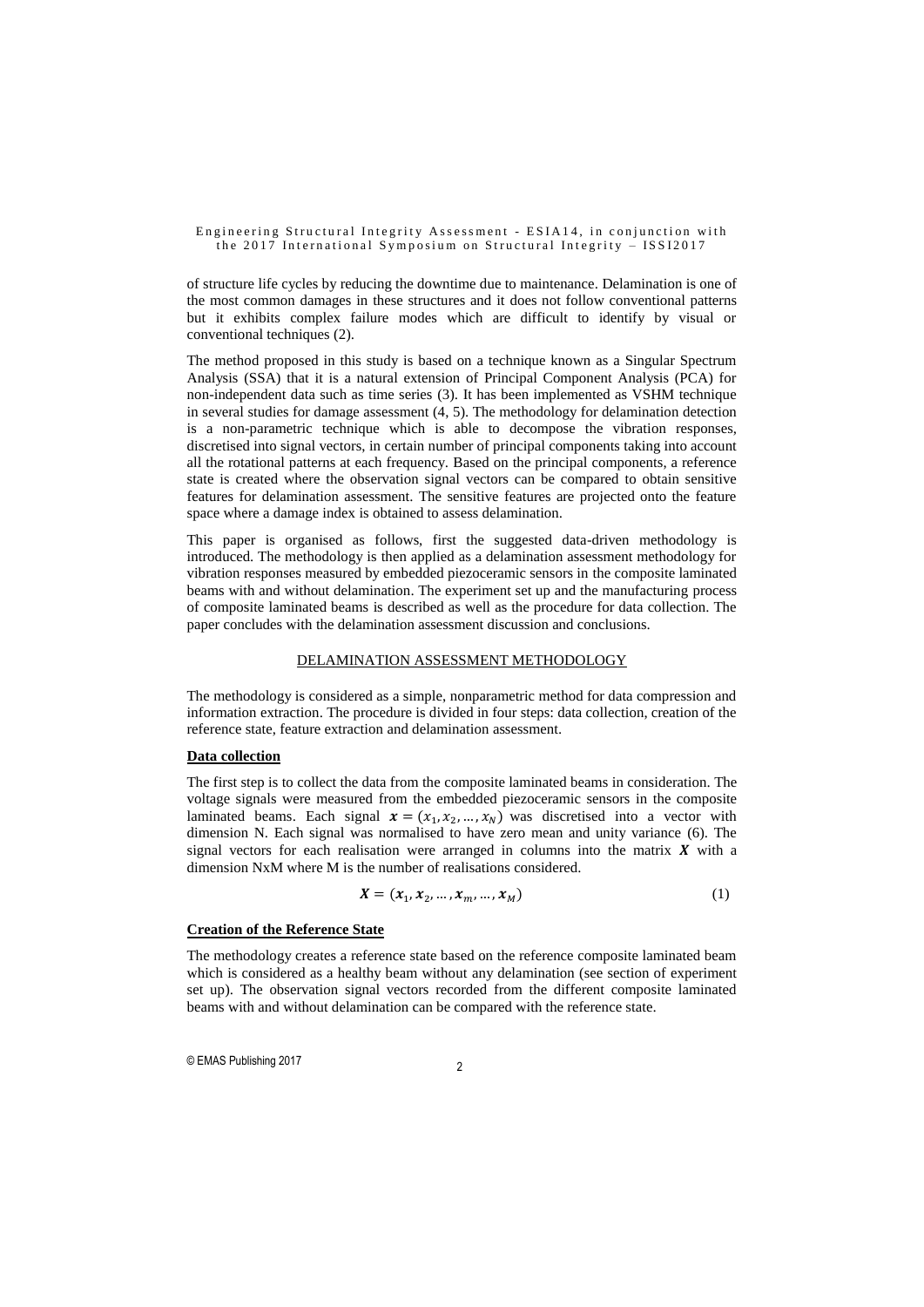of structure life cycles by reducing the downtime due to maintenance. Delamination is one of the most common damages in these structures and it does not follow conventional patterns but it exhibits complex failure modes which are difficult to identify by visual or conventional techniques (2).

The method proposed in this study is based on a technique known as a Singular Spectrum Analysis (SSA) that it is a natural extension of Principal Component Analysis (PCA) for non-independent data such as time series (3). It has been implemented as VSHM technique in several studies for damage assessment (4, 5). The methodology for delamination detection is a non-parametric technique which is able to decompose the vibration responses, discretised into signal vectors, in certain number of principal components taking into account all the rotational patterns at each frequency. Based on the principal components, a reference state is created where the observation signal vectors can be compared to obtain sensitive features for delamination assessment. The sensitive features are projected onto the feature space where a damage index is obtained to assess delamination.

This paper is organised as follows, first the suggested data-driven methodology is introduced. The methodology is then applied as a delamination assessment methodology for vibration responses measured by embedded piezoceramic sensors in the composite laminated beams with and without delamination. The experiment set up and the manufacturing process of composite laminated beams is described as well as the procedure for data collection. The paper concludes with the delamination assessment discussion and conclusions.

### DELAMINATION ASSESSMENT METHODOLOGY

The methodology is considered as a simple, nonparametric method for data compression and information extraction. The procedure is divided in four steps: data collection, creation of the reference state, feature extraction and delamination assessment.

### **Data collection**

The first step is to collect the data from the composite laminated beams in consideration. The voltage signals were measured from the embedded piezoceramic sensors in the composite laminated beams. Each signal  $\mathbf{x} = (x_1, x_2, ..., x_N)$  was discretised into a vector with dimension N. Each signal was normalised to have zero mean and unity variance (6). The signal vectors for each realisation were arranged in columns into the matrix  $\boldsymbol{X}$  with a dimension NxM where M is the number of realisations considered.

$$
\mathbf{X} = (\mathbf{x}_1, \mathbf{x}_2, \dots, \mathbf{x}_m, \dots, \mathbf{x}_M) \tag{1}
$$

### **Creation of the Reference State**

The methodology creates a reference state based on the reference composite laminated beam which is considered as a healthy beam without any delamination (see section of experiment set up). The observation signal vectors recorded from the different composite laminated beams with and without delamination can be compared with the reference state.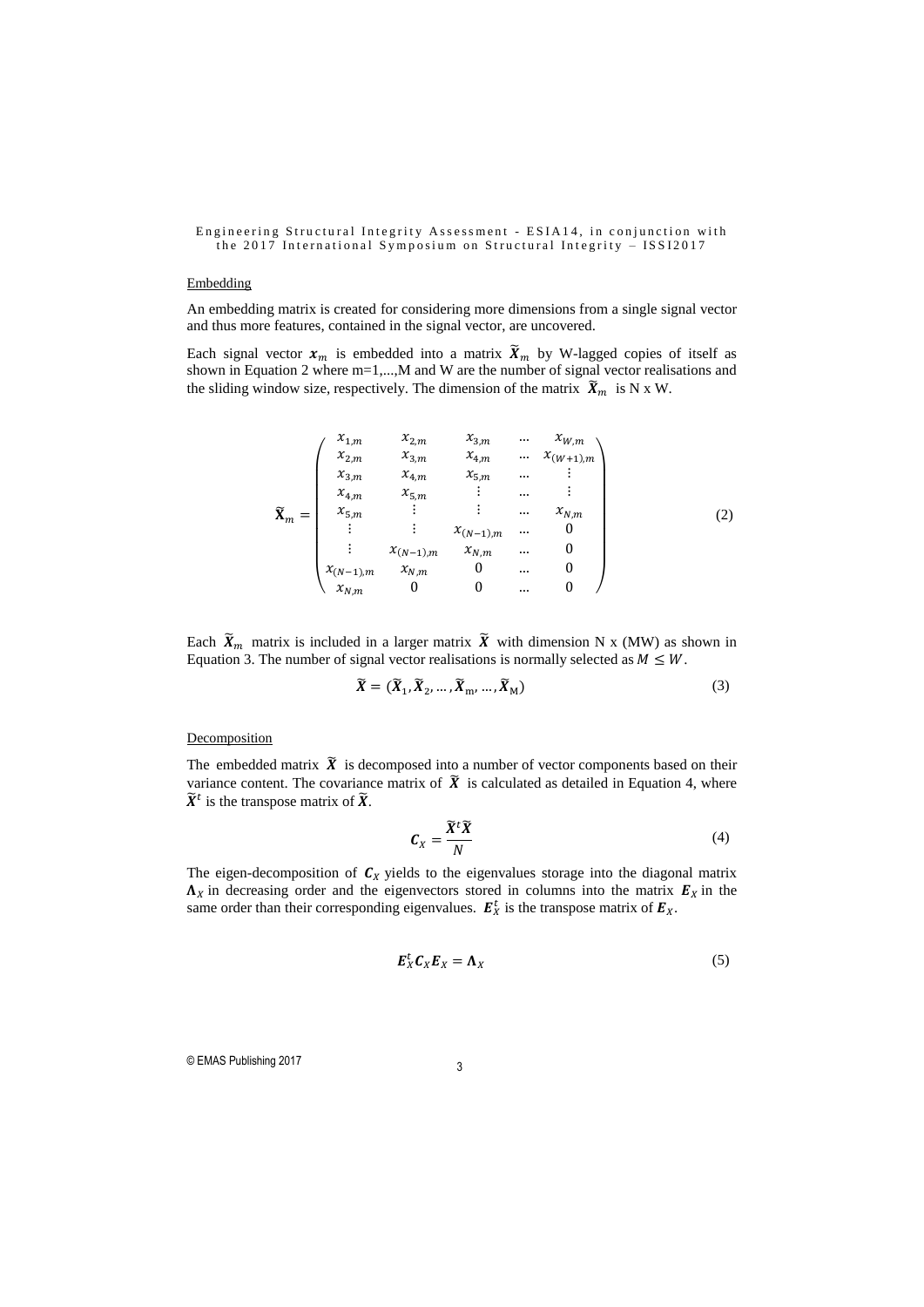# Embedding

An embedding matrix is created for considering more dimensions from a single signal vector and thus more features, contained in the signal vector, are uncovered.

Each signal vector  $x_m$  is embedded into a matrix  $\widetilde{X}_m$  by W-lagged copies of itself as shown in Equation 2 where m=1,...,M and W are the number of signal vector realisations and the sliding window size, respectively. The dimension of the matrix  $\widetilde{X}_m$  is N x W.

$$
\widetilde{\mathbf{X}}_{m} = \begin{pmatrix}\nx_{1,m} & x_{2,m} & x_{3,m} & \dots & x_{W,m} \\
x_{2,m} & x_{3,m} & x_{4,m} & \dots & x_{(W+1),m} \\
x_{3,m} & x_{4,m} & x_{5,m} & \dots & \vdots \\
x_{4,m} & x_{5,m} & \vdots & \dots & \vdots \\
x_{5,m} & \vdots & \vdots & \dots & x_{N,m} \\
\vdots & \vdots & x_{(N-1),m} & x_{N,m} & \dots & 0 \\
x_{(N-1),m} & x_{N,m} & 0 & \dots & 0 \\
x_{N,m} & 0 & 0 & \dots & 0\n\end{pmatrix}
$$
\n(2)

Each  $\widetilde{X}_m$  matrix is included in a larger matrix  $\widetilde{X}$  with dimension N x (MW) as shown in Equation 3. The number of signal vector realisations is normally selected as  $M \leq W$ .

$$
\widetilde{\boldsymbol{X}} = (\widetilde{\boldsymbol{X}}_1, \widetilde{\boldsymbol{X}}_2, \dots, \widetilde{\boldsymbol{X}}_m, \dots, \widetilde{\boldsymbol{X}}_M)
$$
\n(3)

### **Decomposition**

The embedded matrix  $\widetilde{X}$  is decomposed into a number of vector components based on their variance content. The covariance matrix of  $\tilde{X}$  is calculated as detailed in Equation 4, where  $\widetilde{X}^t$  is the transpose matrix of  $\widetilde{X}$ .

$$
C_X = \frac{\widetilde{X}^t \widetilde{X}}{N} \tag{4}
$$

The eigen-decomposition of  $C_X$  yields to the eigenvalues storage into the diagonal matrix  $\Lambda_X$  in decreasing order and the eigenvectors stored in columns into the matrix  $\mathbf{E}_X$  in the same order than their corresponding eigenvalues.  $E_X^t$  is the transpose matrix of  $E_X$ .

$$
E_X^t C_X E_X = \Lambda_X \tag{5}
$$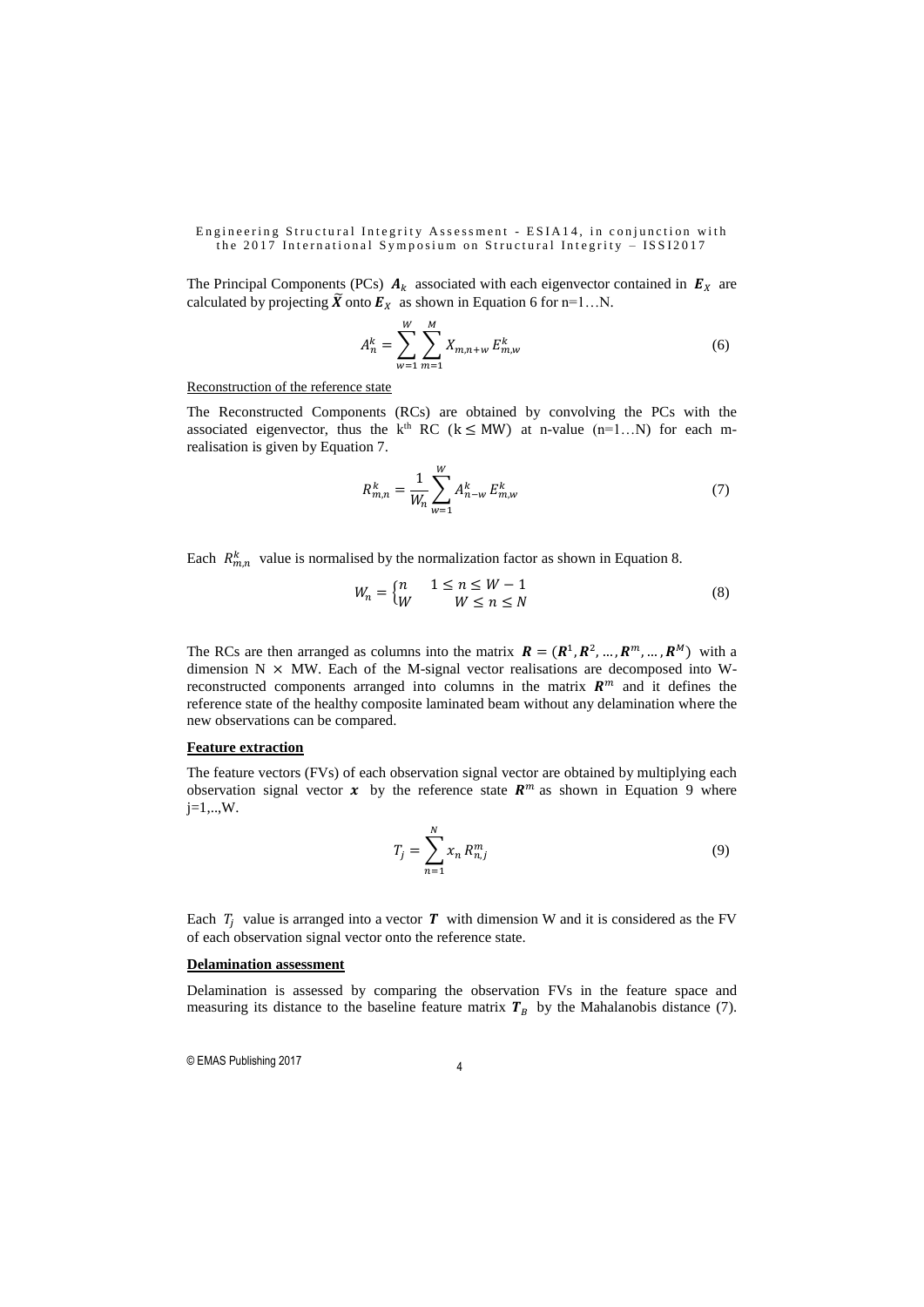The Principal Components (PCs)  $A_k$  associated with each eigenvector contained in  $E_x$  are calculated by projecting  $\widetilde{X}$  onto  $E_X$  as shown in Equation 6 for n=1...N.

$$
A_n^k = \sum_{w=1}^W \sum_{m=1}^M X_{m,n+w} E_{m,w}^k
$$
 (6)

Reconstruction of the reference state

The Reconstructed Components (RCs) are obtained by convolving the PCs with the associated eigenvector, thus the k<sup>th</sup> RC (k  $\leq$  MW) at n-value (n=1...N) for each mrealisation is given by Equation 7.

$$
R_{m,n}^k = \frac{1}{W_n} \sum_{w=1}^W A_{n-w}^k E_{m,w}^k
$$
 (7)

Each  $R_{m,n}^{k}$  value is normalised by the normalization factor as shown in Equation 8.

$$
W_n = \begin{cases} n & 1 \le n \le W - 1 \\ W & W \le n \le N \end{cases} \tag{8}
$$

The RCs are then arranged as columns into the matrix  $\mathbf{R} = (\mathbf{R}^1, \mathbf{R}^2, ..., \mathbf{R}^m, ..., \mathbf{R}^M)$  with a dimension  $N \times MW$ . Each of the M-signal vector realisations are decomposed into Wreconstructed components arranged into columns in the matrix  $R<sup>m</sup>$  and it defines the reference state of the healthy composite laminated beam without any delamination where the new observations can be compared.

# **Feature extraction**

The feature vectors (FVs) of each observation signal vector are obtained by multiplying each observation signal vector  $x$  by the reference state  $R^m$  as shown in Equation 9 where j=1,..,W.

$$
T_j = \sum_{n=1}^{N} x_n R_{n,j}^m
$$
 (9)

Each  $T_i$  value is arranged into a vector  $T$  with dimension W and it is considered as the FV of each observation signal vector onto the reference state.

### **Delamination assessment**

Delamination is assessed by comparing the observation FVs in the feature space and measuring its distance to the baseline feature matrix  $T_B$  by the Mahalanobis distance (7).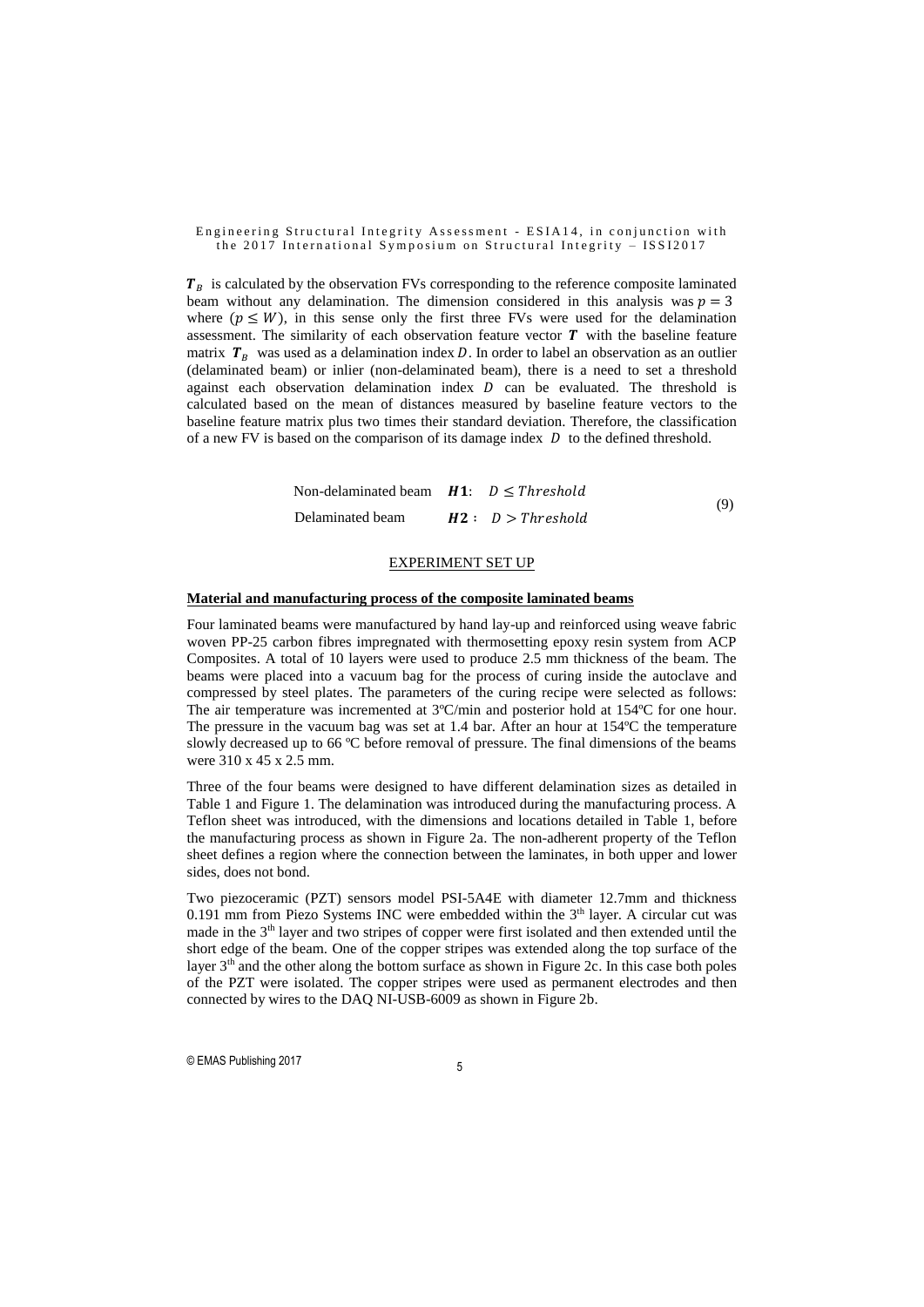$T_B$  is calculated by the observation FVs corresponding to the reference composite laminated beam without any delamination. The dimension considered in this analysis was  $p = 3$ where  $(p \leq W)$ , in this sense only the first three FVs were used for the delamination assessment. The similarity of each observation feature vector  $T$  with the baseline feature matrix  $T<sub>B</sub>$  was used as a delamination index D. In order to label an observation as an outlier (delaminated beam) or inlier (non-delaminated beam), there is a need to set a threshold against each observation delamination index  $D$  can be evaluated. The threshold is calculated based on the mean of distances measured by baseline feature vectors to the baseline feature matrix plus two times their standard deviation. Therefore, the classification of a new FV is based on the comparison of its damage index  $D$  to the defined threshold.

| Non-delaminated beam $H1: D \leq Threshold$ |                   | (9) |
|---------------------------------------------|-------------------|-----|
| Delaminated beam                            | H2: D > Threshold |     |

#### EXPERIMENT SET UP

#### **Material and manufacturing process of the composite laminated beams**

Four laminated beams were manufactured by hand lay-up and reinforced using weave fabric woven PP-25 carbon fibres impregnated with thermosetting epoxy resin system from ACP Composites. A total of 10 layers were used to produce 2.5 mm thickness of the beam. The beams were placed into a vacuum bag for the process of curing inside the autoclave and compressed by steel plates. The parameters of the curing recipe were selected as follows: The air temperature was incremented at 3ºC/min and posterior hold at 154ºC for one hour. The pressure in the vacuum bag was set at 1.4 bar. After an hour at 154ºC the temperature slowly decreased up to 66 ºC before removal of pressure. The final dimensions of the beams were 310 x 45 x 2.5 mm.

Three of the four beams were designed to have different delamination sizes as detailed in Table 1 and Figure 1. The delamination was introduced during the manufacturing process. A Teflon sheet was introduced, with the dimensions and locations detailed in Table 1, before the manufacturing process as shown in Figure 2a. The non-adherent property of the Teflon sheet defines a region where the connection between the laminates, in both upper and lower sides, does not bond.

Two piezoceramic (PZT) sensors model PSI-5A4E with diameter 12.7mm and thickness  $0.191$  mm from Piezo Systems INC were embedded within the  $3<sup>th</sup>$  layer. A circular cut was made in the  $3<sup>th</sup>$  layer and two stripes of copper were first isolated and then extended until the short edge of the beam. One of the copper stripes was extended along the top surface of the layer 3th and the other along the bottom surface as shown in Figure 2c. In this case both poles of the PZT were isolated. The copper stripes were used as permanent electrodes and then connected by wires to the DAQ NI-USB-6009 as shown in Figure 2b.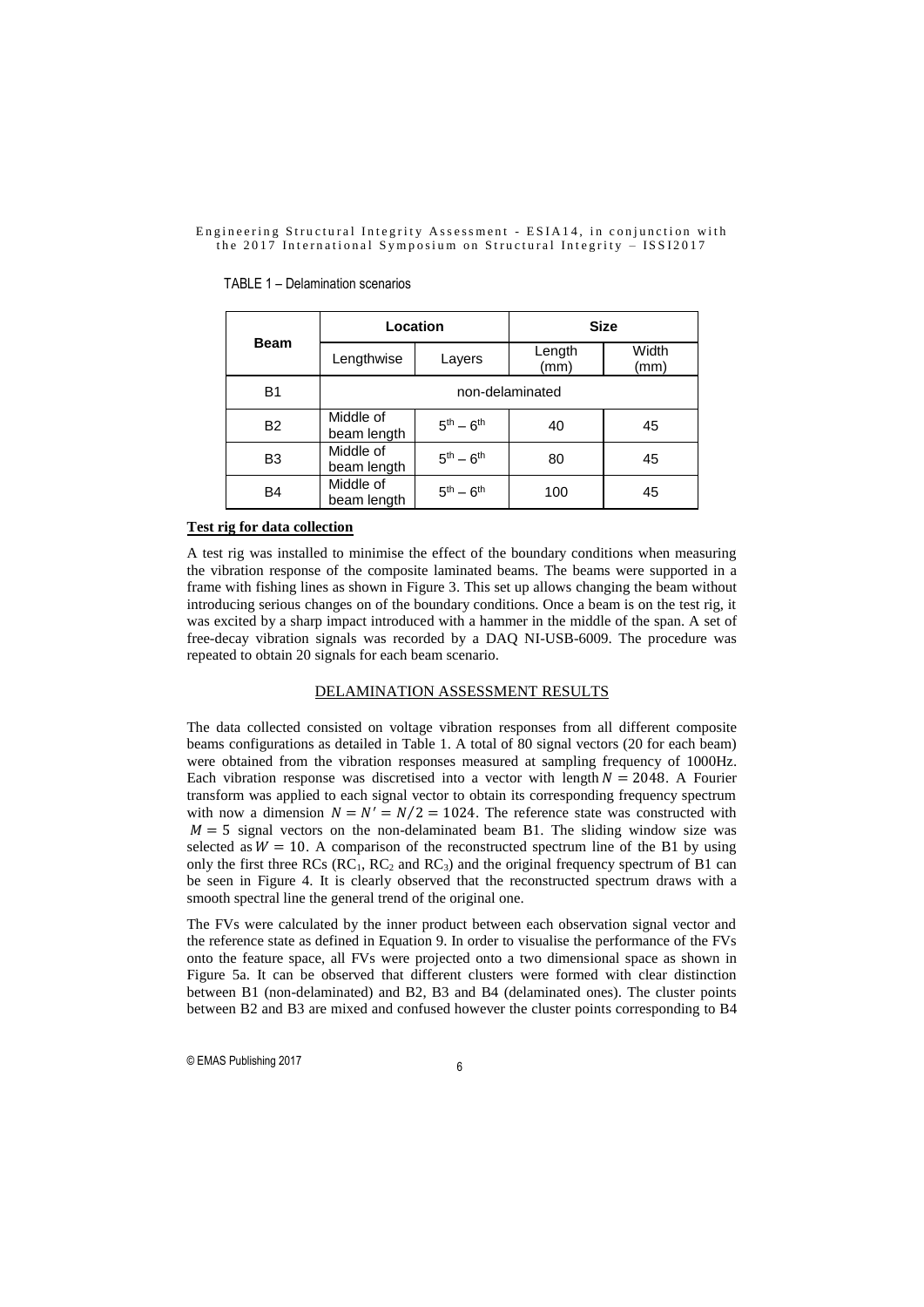|                | Location                 |                   | <b>Size</b>    |               |  |  |
|----------------|--------------------------|-------------------|----------------|---------------|--|--|
| Beam           | Lengthwise               | Layers            | Length<br>(mm) | Width<br>(mm) |  |  |
| B <sub>1</sub> | non-delaminated          |                   |                |               |  |  |
| <b>B2</b>      | Middle of<br>beam length | $5th - 6th$       | 40             | 45            |  |  |
| B <sub>3</sub> | Middle of<br>beam length | $5^{th} - 6^{th}$ | 80             | 45            |  |  |
| B4             | Middle of<br>beam length | $5th - 6th$       | 100            | 45            |  |  |

#### TABLE 1 – Delamination scenarios

### **Test rig for data collection**

A test rig was installed to minimise the effect of the boundary conditions when measuring the vibration response of the composite laminated beams. The beams were supported in a frame with fishing lines as shown in Figure 3. This set up allows changing the beam without introducing serious changes on of the boundary conditions. Once a beam is on the test rig, it was excited by a sharp impact introduced with a hammer in the middle of the span. A set of free-decay vibration signals was recorded by a DAQ NI-USB-6009. The procedure was repeated to obtain 20 signals for each beam scenario.

# DELAMINATION ASSESSMENT RESULTS

The data collected consisted on voltage vibration responses from all different composite beams configurations as detailed in Table 1. A total of 80 signal vectors (20 for each beam) were obtained from the vibration responses measured at sampling frequency of 1000Hz. Each vibration response was discretised into a vector with length  $N = 2048$ . A Fourier transform was applied to each signal vector to obtain its corresponding frequency spectrum with now a dimension  $N = N' = N/2 = 1024$ . The reference state was constructed with  $M = 5$  signal vectors on the non-delaminated beam B1. The sliding window size was selected as  $W = 10$ . A comparison of the reconstructed spectrum line of the B1 by using only the first three RCs ( $RC<sub>1</sub>$ ,  $RC<sub>2</sub>$  and  $RC<sub>3</sub>$ ) and the original frequency spectrum of B1 can be seen in Figure 4. It is clearly observed that the reconstructed spectrum draws with a smooth spectral line the general trend of the original one.

The FVs were calculated by the inner product between each observation signal vector and the reference state as defined in Equation 9. In order to visualise the performance of the FVs onto the feature space, all FVs were projected onto a two dimensional space as shown in Figure 5a. It can be observed that different clusters were formed with clear distinction between B1 (non-delaminated) and B2, B3 and B4 (delaminated ones). The cluster points between B2 and B3 are mixed and confused however the cluster points corresponding to B4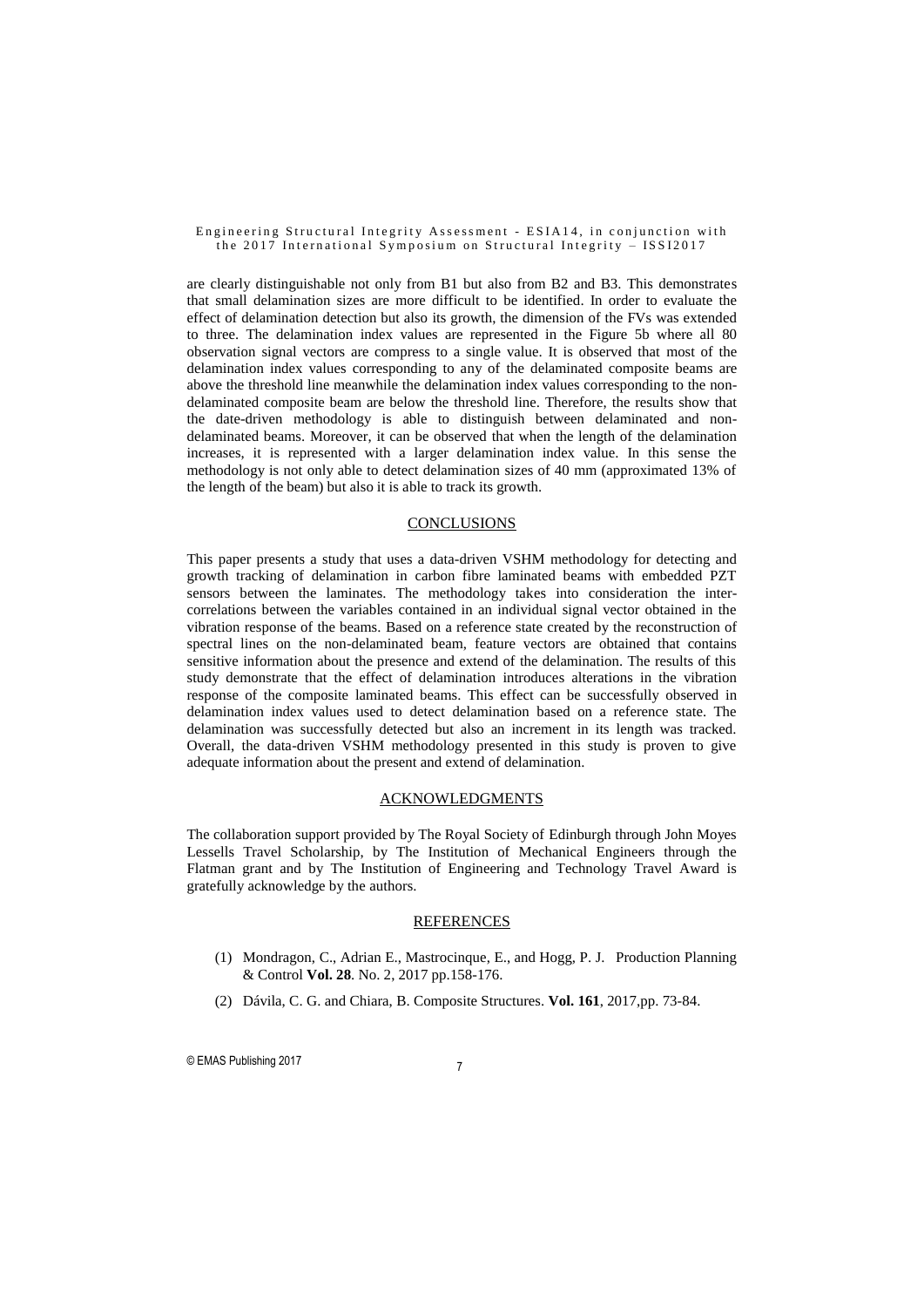are clearly distinguishable not only from B1 but also from B2 and B3. This demonstrates that small delamination sizes are more difficult to be identified. In order to evaluate the effect of delamination detection but also its growth, the dimension of the FVs was extended to three. The delamination index values are represented in the Figure 5b where all 80 observation signal vectors are compress to a single value. It is observed that most of the delamination index values corresponding to any of the delaminated composite beams are above the threshold line meanwhile the delamination index values corresponding to the nondelaminated composite beam are below the threshold line. Therefore, the results show that the date-driven methodology is able to distinguish between delaminated and nondelaminated beams. Moreover, it can be observed that when the length of the delamination increases, it is represented with a larger delamination index value. In this sense the methodology is not only able to detect delamination sizes of 40 mm (approximated 13% of the length of the beam) but also it is able to track its growth.

### **CONCLUSIONS**

This paper presents a study that uses a data-driven VSHM methodology for detecting and growth tracking of delamination in carbon fibre laminated beams with embedded PZT sensors between the laminates. The methodology takes into consideration the intercorrelations between the variables contained in an individual signal vector obtained in the vibration response of the beams. Based on a reference state created by the reconstruction of spectral lines on the non-delaminated beam, feature vectors are obtained that contains sensitive information about the presence and extend of the delamination. The results of this study demonstrate that the effect of delamination introduces alterations in the vibration response of the composite laminated beams. This effect can be successfully observed in delamination index values used to detect delamination based on a reference state. The delamination was successfully detected but also an increment in its length was tracked. Overall, the data-driven VSHM methodology presented in this study is proven to give adequate information about the present and extend of delamination.

#### ACKNOWLEDGMENTS

The collaboration support provided by The Royal Society of Edinburgh through John Moyes Lessells Travel Scholarship, by The Institution of Mechanical Engineers through the Flatman grant and by The Institution of Engineering and Technology Travel Award is gratefully acknowledge by the authors.

#### REFERENCES

- (1) Mondragon, C., Adrian E., Mastrocinque, E., and Hogg, P. J. Production Planning & Control **Vol. 28**. No. 2, 2017 pp.158-176.
- (2) Dávila, C. G. and Chiara, B. Composite Structures. **Vol. 161**, 2017,pp. 73-84.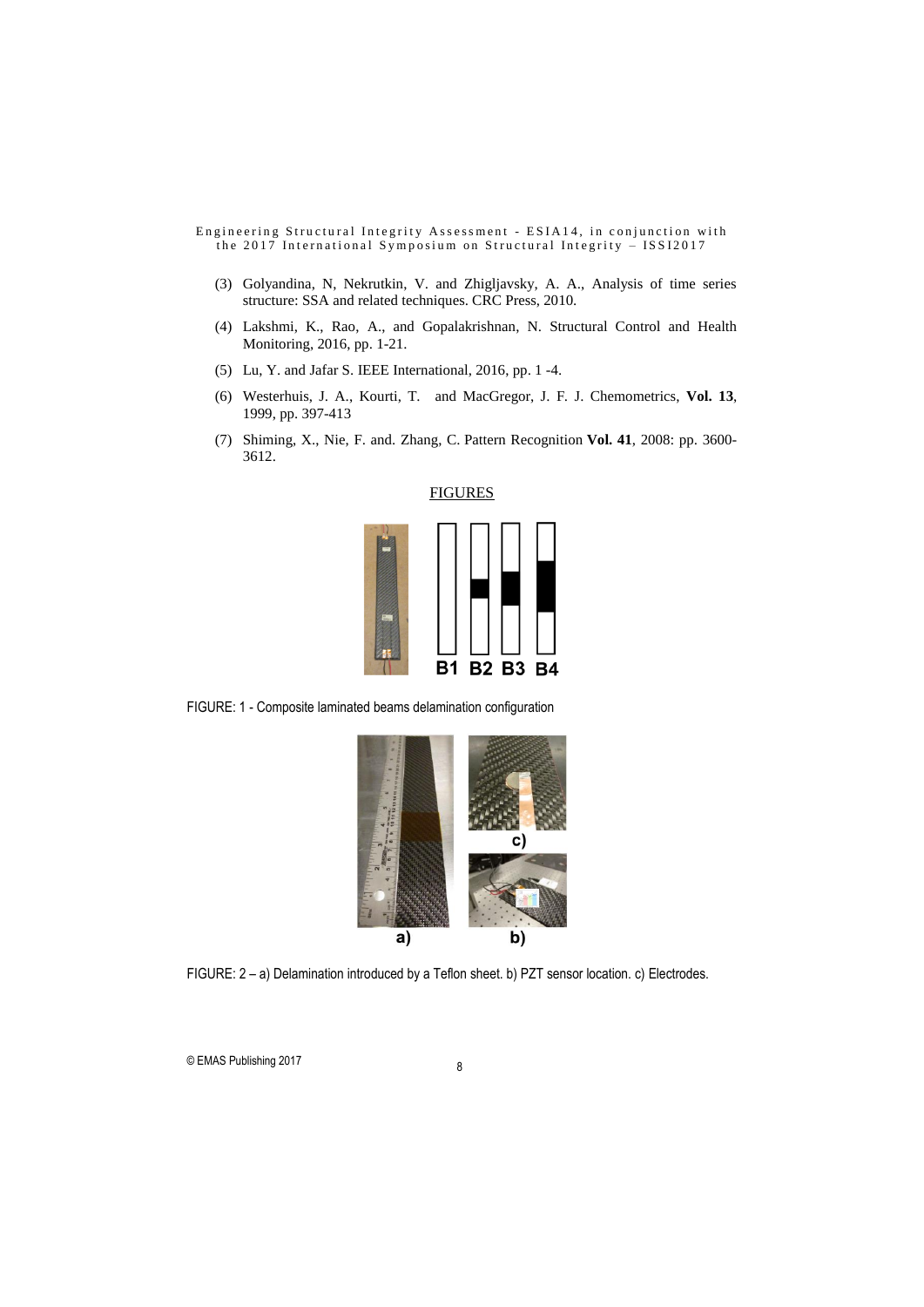- (3) Golyandina, N, Nekrutkin, V. and Zhigljavsky, A. A., Analysis of time series structure: SSA and related techniques. CRC Press, 2010.
- (4) Lakshmi, K., Rao, A., and Gopalakrishnan, N. Structural Control and Health Monitoring, 2016, pp. 1-21.
- (5) Lu, Y. and Jafar S. IEEE International, 2016, pp. 1 -4.
- (6) Westerhuis, J. A., Kourti, T. and MacGregor, J. F. J. Chemometrics, **Vol. 13**, 1999, pp. 397-413
- (7) Shiming, X., Nie, F. and. Zhang, C. Pattern Recognition **Vol. 41**, 2008: pp. 3600- 3612.



FIGURE: 1 - Composite laminated beams delamination configuration



FIGURE: 2 – a) Delamination introduced by a Teflon sheet. b) PZT sensor location. c) Electrodes.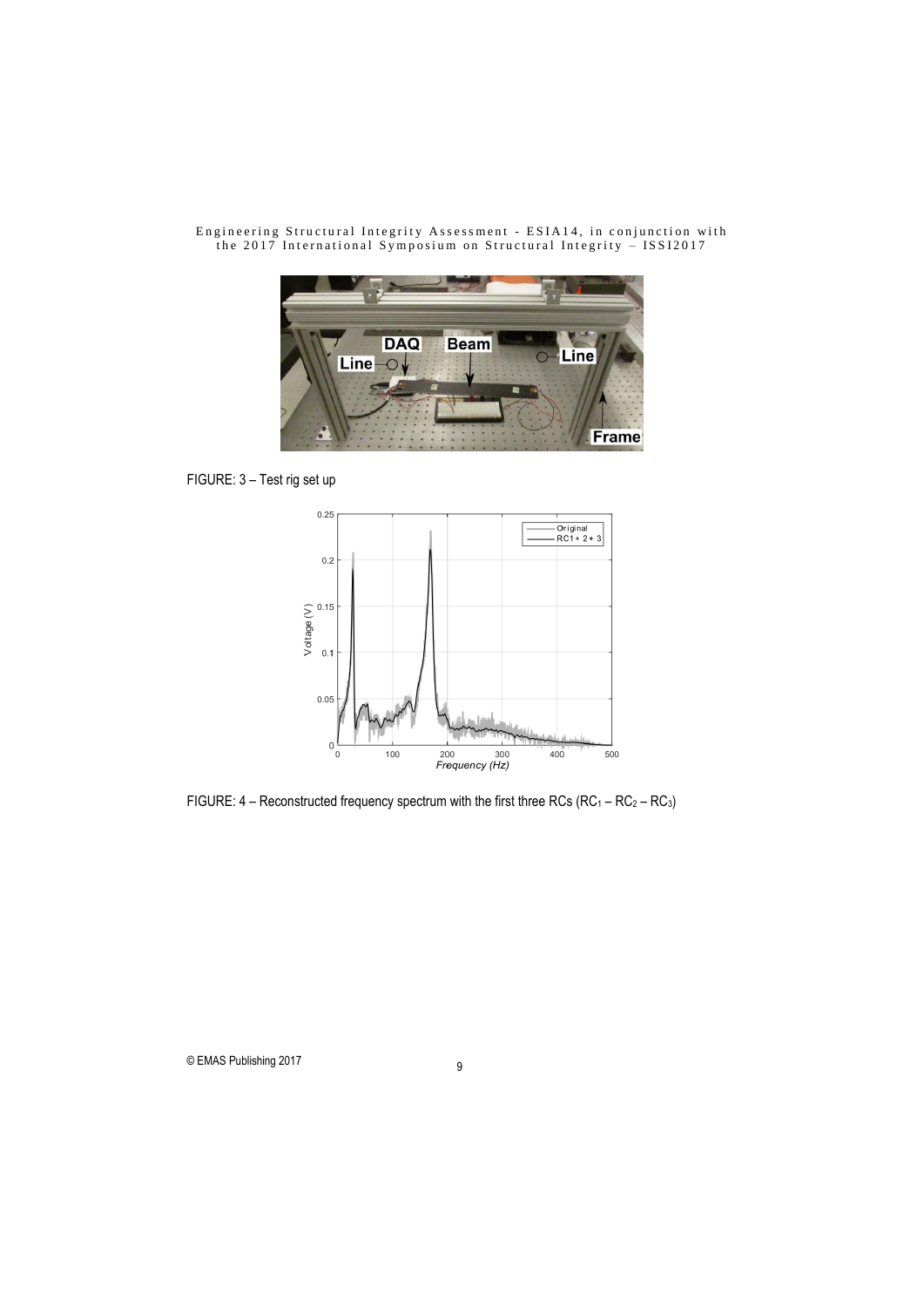

FIGURE: 3 – Test rig set up



FIGURE:  $4 -$  Reconstructed frequency spectrum with the first three RCs (RC<sub>1</sub> – RC<sub>2</sub> – RC<sub>3</sub>)